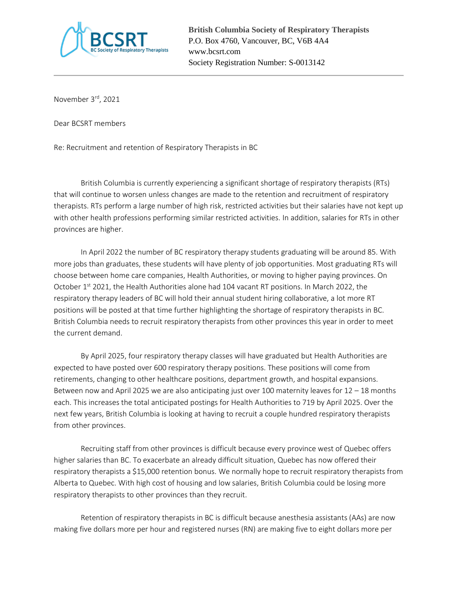

November 3rd, 2021

Dear BCSRT members

Re: Recruitment and retention of Respiratory Therapists in BC

British Columbia is currently experiencing a significant shortage of respiratory therapists (RTs) that will continue to worsen unless changes are made to the retention and recruitment of respiratory therapists. RTs perform a large number of high risk, restricted activities but their salaries have not kept up with other health professions performing similar restricted activities. In addition, salaries for RTs in other provinces are higher.

In April 2022 the number of BC respiratory therapy students graduating will be around 85. With more jobs than graduates, these students will have plenty of job opportunities. Most graduating RTs will choose between home care companies, Health Authorities, or moving to higher paying provinces. On October  $1<sup>st</sup>$  2021, the Health Authorities alone had 104 vacant RT positions. In March 2022, the respiratory therapy leaders of BC will hold their annual student hiring collaborative, a lot more RT positions will be posted at that time further highlighting the shortage of respiratory therapists in BC. British Columbia needs to recruit respiratory therapists from other provinces this year in order to meet the current demand.

By April 2025, four respiratory therapy classes will have graduated but Health Authorities are expected to have posted over 600 respiratory therapy positions. These positions will come from retirements, changing to other healthcare positions, department growth, and hospital expansions. Between now and April 2025 we are also anticipating just over 100 maternity leaves for 12 – 18 months each. This increases the total anticipated postings for Health Authorities to 719 by April 2025. Over the next few years, British Columbia is looking at having to recruit a couple hundred respiratory therapists from other provinces.

Recruiting staff from other provinces is difficult because every province west of Quebec offers higher salaries than BC. To exacerbate an already difficult situation, Quebec has now offered their respiratory therapists a \$15,000 retention bonus. We normally hope to recruit respiratory therapists from Alberta to Quebec. With high cost of housing and low salaries, British Columbia could be losing more respiratory therapists to other provinces than they recruit.

Retention of respiratory therapists in BC is difficult because anesthesia assistants (AAs) are now making five dollars more per hour and registered nurses (RN) are making five to eight dollars more per